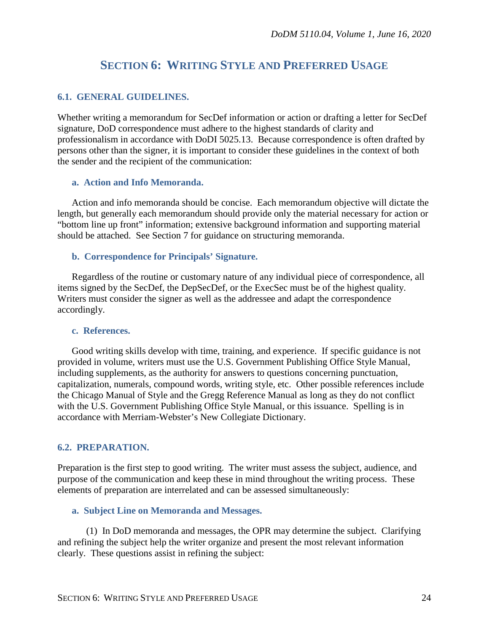# **SECTION 6: WRITING STYLE AND PREFERRED USAGE**

### **6.1. GENERAL GUIDELINES.**

Whether writing a memorandum for SecDef information or action or drafting a letter for SecDef signature, DoD correspondence must adhere to the highest standards of clarity and professionalism in accordance with DoDI 5025.13. Because correspondence is often drafted by persons other than the signer, it is important to consider these guidelines in the context of both the sender and the recipient of the communication:

#### **a. Action and Info Memoranda.**

Action and info memoranda should be concise. Each memorandum objective will dictate the length, but generally each memorandum should provide only the material necessary for action or "bottom line up front" information; extensive background information and supporting material should be attached. See Section 7 for guidance on structuring memoranda.

#### **b. Correspondence for Principals' Signature.**

Regardless of the routine or customary nature of any individual piece of correspondence, all items signed by the SecDef, the DepSecDef, or the ExecSec must be of the highest quality. Writers must consider the signer as well as the addressee and adapt the correspondence accordingly.

#### **c. References.**

Good writing skills develop with time, training, and experience. If specific guidance is not provided in volume, writers must use the U.S. Government Publishing Office Style Manual, including supplements, as the authority for answers to questions concerning punctuation, capitalization, numerals, compound words, writing style, etc. Other possible references include the Chicago Manual of Style and the Gregg Reference Manual as long as they do not conflict with the U.S. Government Publishing Office Style Manual, or this issuance. Spelling is in accordance with Merriam-Webster's New Collegiate Dictionary.

### **6.2. PREPARATION.**

Preparation is the first step to good writing. The writer must assess the subject, audience, and purpose of the communication and keep these in mind throughout the writing process. These elements of preparation are interrelated and can be assessed simultaneously:

#### **a. Subject Line on Memoranda and Messages.**

(1) In DoD memoranda and messages, the OPR may determine the subject. Clarifying and refining the subject help the writer organize and present the most relevant information clearly. These questions assist in refining the subject: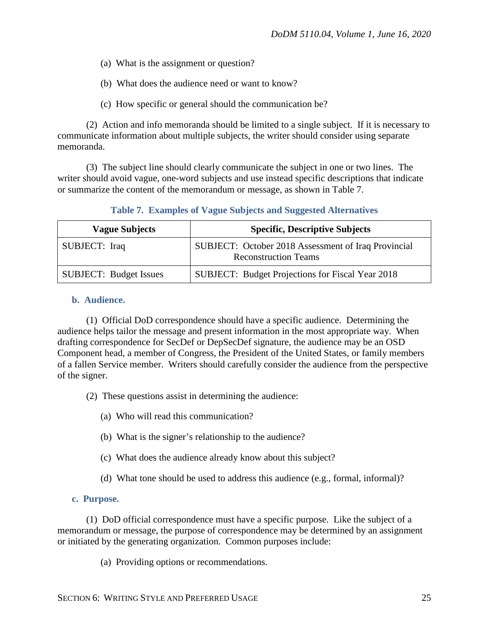- (a) What is the assignment or question?
- (b) What does the audience need or want to know?
- (c) How specific or general should the communication be?

(2) Action and info memoranda should be limited to a single subject. If it is necessary to communicate information about multiple subjects, the writer should consider using separate memoranda.

(3) The subject line should clearly communicate the subject in one or two lines. The writer should avoid vague, one-word subjects and use instead specific descriptions that indicate or summarize the content of the memorandum or message, as shown in Table 7.

|  |  |  |  | Table 7. Examples of Vague Subjects and Suggested Alternatives |  |
|--|--|--|--|----------------------------------------------------------------|--|
|--|--|--|--|----------------------------------------------------------------|--|

| <b>Vague Subjects</b>         | <b>Specific, Descriptive Subjects</b>                                              |
|-------------------------------|------------------------------------------------------------------------------------|
| SUBJECT: Iraq                 | SUBJECT: October 2018 Assessment of Iraq Provincial<br><b>Reconstruction Teams</b> |
| <b>SUBJECT: Budget Issues</b> | <b>SUBJECT:</b> Budget Projections for Fiscal Year 2018                            |

#### **b. Audience.**

(1) Official DoD correspondence should have a specific audience. Determining the audience helps tailor the message and present information in the most appropriate way. When drafting correspondence for SecDef or DepSecDef signature, the audience may be an OSD Component head, a member of Congress, the President of the United States, or family members of a fallen Service member. Writers should carefully consider the audience from the perspective of the signer.

- (2) These questions assist in determining the audience:
	- (a) Who will read this communication?
	- (b) What is the signer's relationship to the audience?
	- (c) What does the audience already know about this subject?
	- (d) What tone should be used to address this audience (e.g., formal, informal)?

#### **c. Purpose.**

(1) DoD official correspondence must have a specific purpose. Like the subject of a memorandum or message, the purpose of correspondence may be determined by an assignment or initiated by the generating organization. Common purposes include:

(a) Providing options or recommendations.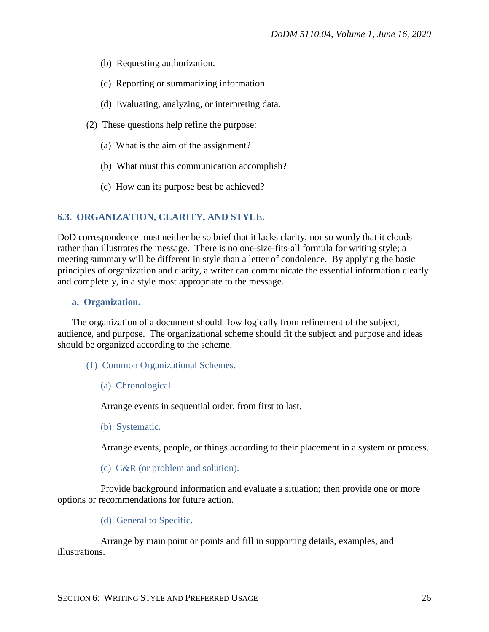- (b) Requesting authorization.
- (c) Reporting or summarizing information.
- (d) Evaluating, analyzing, or interpreting data.
- (2) These questions help refine the purpose:
	- (a) What is the aim of the assignment?
	- (b) What must this communication accomplish?
	- (c) How can its purpose best be achieved?

### **6.3. ORGANIZATION, CLARITY, AND STYLE.**

DoD correspondence must neither be so brief that it lacks clarity, nor so wordy that it clouds rather than illustrates the message. There is no one-size-fits-all formula for writing style; a meeting summary will be different in style than a letter of condolence. By applying the basic principles of organization and clarity, a writer can communicate the essential information clearly and completely, in a style most appropriate to the message.

#### **a. Organization.**

The organization of a document should flow logically from refinement of the subject, audience, and purpose. The organizational scheme should fit the subject and purpose and ideas should be organized according to the scheme.

- (1) Common Organizational Schemes.
	- (a) Chronological.

Arrange events in sequential order, from first to last.

(b) Systematic.

Arrange events, people, or things according to their placement in a system or process.

(c) C&R (or problem and solution).

Provide background information and evaluate a situation; then provide one or more options or recommendations for future action.

(d) General to Specific.

Arrange by main point or points and fill in supporting details, examples, and illustrations.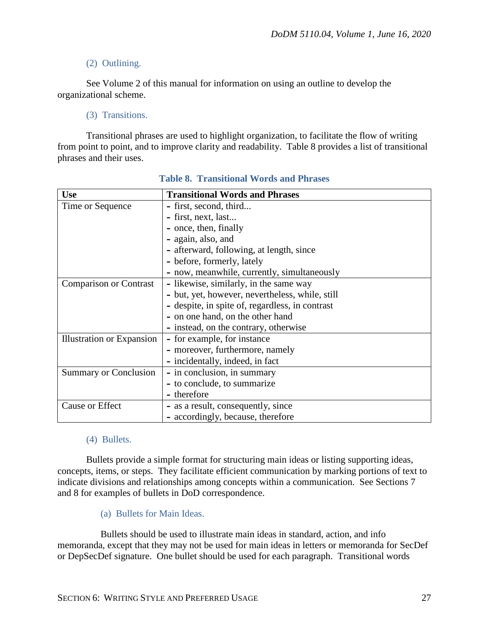# (2) Outlining.

See Volume 2 of this manual for information on using an outline to develop the organizational scheme.

# (3) Transitions.

Transitional phrases are used to highlight organization, to facilitate the flow of writing from point to point, and to improve clarity and readability. Table 8 provides a list of transitional phrases and their uses.

| <b>Use</b>                    | <b>Transitional Words and Phrases</b>           |
|-------------------------------|-------------------------------------------------|
| Time or Sequence              | - first, second, third                          |
|                               | - first, next, last                             |
|                               | - once, then, finally                           |
|                               | - again, also, and                              |
|                               | - afterward, following, at length, since        |
|                               | - before, formerly, lately                      |
|                               | - now, meanwhile, currently, simultaneously     |
| <b>Comparison or Contrast</b> | - likewise, similarly, in the same way          |
|                               | - but, yet, however, nevertheless, while, still |
|                               | - despite, in spite of, regardless, in contrast |
|                               | - on one hand, on the other hand                |
|                               | - instead, on the contrary, otherwise           |
| Illustration or Expansion     | - for example, for instance                     |
|                               | - moreover, furthermore, namely                 |
|                               | - incidentally, indeed, in fact                 |
| Summary or Conclusion         | - in conclusion, in summary                     |
|                               | - to conclude, to summarize                     |
|                               | - therefore                                     |
| Cause or Effect               | - as a result, consequently, since              |
|                               | - accordingly, because, therefore               |

### **Table 8. Transitional Words and Phrases**

### (4) Bullets.

Bullets provide a simple format for structuring main ideas or listing supporting ideas, concepts, items, or steps. They facilitate efficient communication by marking portions of text to indicate divisions and relationships among concepts within a communication. See Sections 7 and 8 for examples of bullets in DoD correspondence.

(a) Bullets for Main Ideas.

Bullets should be used to illustrate main ideas in standard, action, and info memoranda, except that they may not be used for main ideas in letters or memoranda for SecDef or DepSecDef signature. One bullet should be used for each paragraph. Transitional words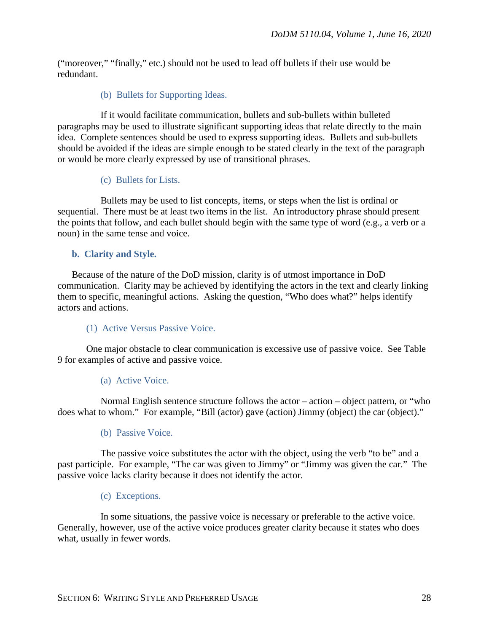("moreover," "finally," etc.) should not be used to lead off bullets if their use would be redundant.

## (b) Bullets for Supporting Ideas.

If it would facilitate communication, bullets and sub-bullets within bulleted paragraphs may be used to illustrate significant supporting ideas that relate directly to the main idea. Complete sentences should be used to express supporting ideas. Bullets and sub-bullets should be avoided if the ideas are simple enough to be stated clearly in the text of the paragraph or would be more clearly expressed by use of transitional phrases.

### (c) Bullets for Lists.

Bullets may be used to list concepts, items, or steps when the list is ordinal or sequential. There must be at least two items in the list. An introductory phrase should present the points that follow, and each bullet should begin with the same type of word (e.g., a verb or a noun) in the same tense and voice.

## **b. Clarity and Style.**

Because of the nature of the DoD mission, clarity is of utmost importance in DoD communication. Clarity may be achieved by identifying the actors in the text and clearly linking them to specific, meaningful actions. Asking the question, "Who does what?" helps identify actors and actions.

### (1) Active Versus Passive Voice.

One major obstacle to clear communication is excessive use of passive voice. See Table 9 for examples of active and passive voice.

### (a) Active Voice.

Normal English sentence structure follows the actor – action – object pattern, or "who does what to whom." For example, "Bill (actor) gave (action) Jimmy (object) the car (object)."

### (b) Passive Voice.

The passive voice substitutes the actor with the object, using the verb "to be" and a past participle. For example, "The car was given to Jimmy" or "Jimmy was given the car." The passive voice lacks clarity because it does not identify the actor.

### (c) Exceptions.

In some situations, the passive voice is necessary or preferable to the active voice. Generally, however, use of the active voice produces greater clarity because it states who does what, usually in fewer words.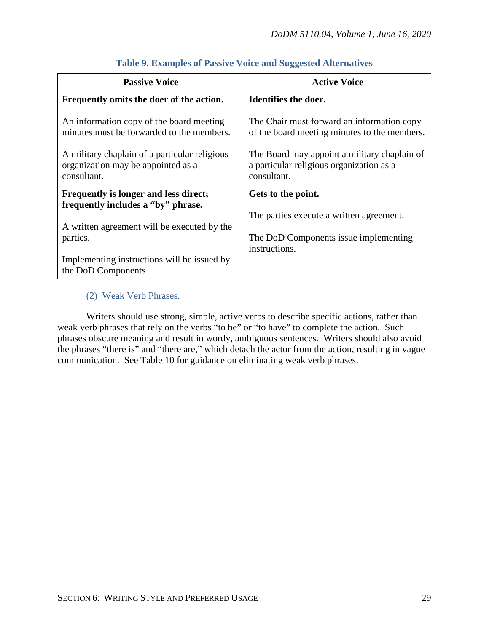| <b>Passive Voice</b>                                                                               | <b>Active Voice</b>                                                                                     |
|----------------------------------------------------------------------------------------------------|---------------------------------------------------------------------------------------------------------|
| Frequently omits the doer of the action.                                                           | Identifies the doer.                                                                                    |
| An information copy of the board meeting<br>minutes must be forwarded to the members.              | The Chair must forward an information copy<br>of the board meeting minutes to the members.              |
| A military chaplain of a particular religious<br>organization may be appointed as a<br>consultant. | The Board may appoint a military chaplain of<br>a particular religious organization as a<br>consultant. |
| Frequently is longer and less direct;<br>frequently includes a "by" phrase.                        | Gets to the point.                                                                                      |
| A written agreement will be executed by the<br>parties.                                            | The parties execute a written agreement.<br>The DoD Components issue implementing<br>instructions.      |
| Implementing instructions will be issued by<br>the DoD Components                                  |                                                                                                         |

# **Table 9. Examples of Passive Voice and Suggested Alternatives**

# (2) Weak Verb Phrases.

Writers should use strong, simple, active verbs to describe specific actions, rather than weak verb phrases that rely on the verbs "to be" or "to have" to complete the action. Such phrases obscure meaning and result in wordy, ambiguous sentences. Writers should also avoid the phrases "there is" and "there are," which detach the actor from the action, resulting in vague communication. See Table 10 for guidance on eliminating weak verb phrases.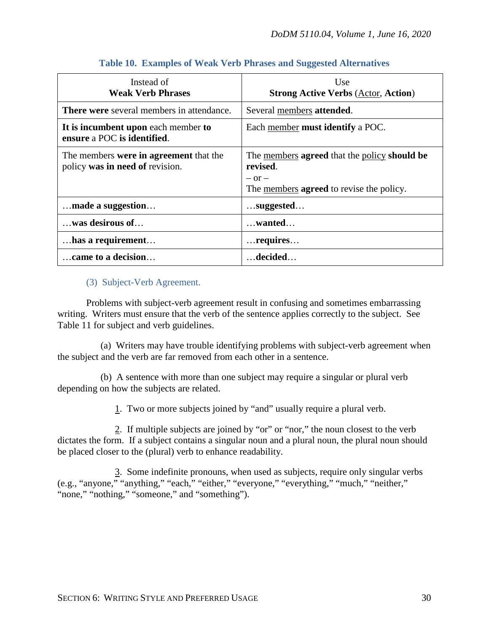| Instead of<br><b>Weak Verb Phrases</b>                                    | Use<br><b>Strong Active Verbs (Actor, Action)</b>                                                                                |
|---------------------------------------------------------------------------|----------------------------------------------------------------------------------------------------------------------------------|
| <b>There were</b> several members in attendance.                          | Several members attended.                                                                                                        |
| It is incumbent upon each member to<br>ensure a POC is identified.        | Each member <b>must identify</b> a POC.                                                                                          |
| The members were in agreement that the<br>policy was in need of revision. | The members agreed that the policy should be<br>revised.<br>$-$ or $-$<br>The <u>members</u> <b>agreed</b> to revise the policy. |
| made a suggestion                                                         | $$ suggested                                                                                                                     |
| was desirous of                                                           | $\dots$ wanted                                                                                                                   |
| has a requirement                                                         | $\dots$ requires                                                                                                                 |
| came to a decision                                                        | $\dots$ decided $\dots$                                                                                                          |

# **Table 10. Examples of Weak Verb Phrases and Suggested Alternatives**

## (3) Subject-Verb Agreement.

Problems with subject-verb agreement result in confusing and sometimes embarrassing writing. Writers must ensure that the verb of the sentence applies correctly to the subject. See Table 11 for subject and verb guidelines.

(a) Writers may have trouble identifying problems with subject-verb agreement when the subject and the verb are far removed from each other in a sentence.

(b) A sentence with more than one subject may require a singular or plural verb depending on how the subjects are related.

1. Two or more subjects joined by "and" usually require a plural verb.

2. If multiple subjects are joined by "or" or "nor," the noun closest to the verb dictates the form. If a subject contains a singular noun and a plural noun, the plural noun should be placed closer to the (plural) verb to enhance readability.

3. Some indefinite pronouns, when used as subjects, require only singular verbs (e.g., "anyone," "anything," "each," "either," "everyone," "everything," "much," "neither," "none," "nothing," "someone," and "something").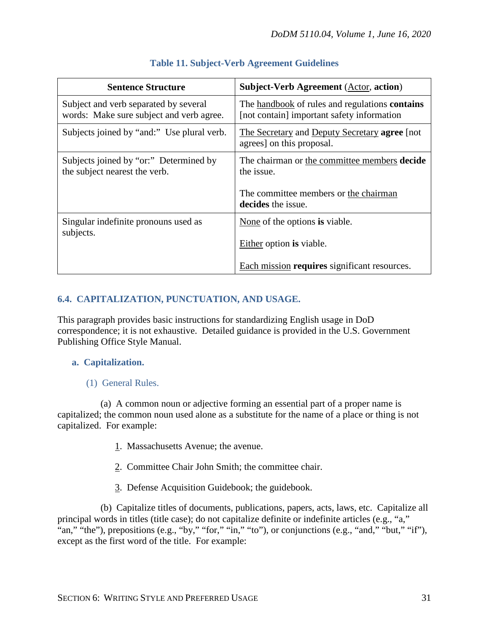| <b>Sentence Structure</b>                                                         | <b>Subject-Verb Agreement (Actor, action)</b>                                                       |
|-----------------------------------------------------------------------------------|-----------------------------------------------------------------------------------------------------|
| Subject and verb separated by several<br>words: Make sure subject and verb agree. | The handbook of rules and regulations <b>contains</b><br>[not contain] important safety information |
| Subjects joined by "and:" Use plural verb.                                        | The Secretary and Deputy Secretary agree [not]<br>agrees] on this proposal.                         |
| Subjects joined by "or:" Determined by<br>the subject nearest the verb.           | The chairman or the committee members decide<br>the issue.                                          |
|                                                                                   | The committee members or the chairman<br>decides the issue.                                         |
| Singular indefinite pronouns used as<br>subjects.                                 | None of the options is viable.                                                                      |
|                                                                                   | Either option is viable.                                                                            |
|                                                                                   | Each mission requires significant resources.                                                        |

# **Table 11. Subject-Verb Agreement Guidelines**

# **6.4. CAPITALIZATION, PUNCTUATION, AND USAGE.**

This paragraph provides basic instructions for standardizing English usage in DoD correspondence; it is not exhaustive. Detailed guidance is provided in the U.S. Government Publishing Office Style Manual.

# **a. Capitalization.**

# (1) General Rules.

(a) A common noun or adjective forming an essential part of a proper name is capitalized; the common noun used alone as a substitute for the name of a place or thing is not capitalized. For example:

- 1. Massachusetts Avenue; the avenue.
- 2. Committee Chair John Smith; the committee chair.
- 3. Defense Acquisition Guidebook; the guidebook.

(b) Capitalize titles of documents, publications, papers, acts, laws, etc. Capitalize all principal words in titles (title case); do not capitalize definite or indefinite articles (e.g., "a," "an," "the"), prepositions (e.g., "by," "for," "in," "to"), or conjunctions (e.g., "and," "but," "if"), except as the first word of the title. For example: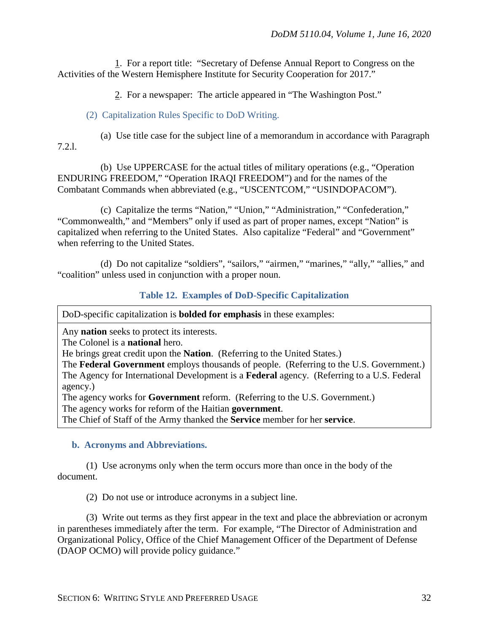1. For a report title: "Secretary of Defense Annual Report to Congress on the Activities of the Western Hemisphere Institute for Security Cooperation for 2017."

2. For a newspaper: The article appeared in "The Washington Post."

# (2) Capitalization Rules Specific to DoD Writing.

(a) Use title case for the subject line of a memorandum in accordance with Paragraph 7.2.l.

(b) Use UPPERCASE for the actual titles of military operations (e.g., "Operation ENDURING FREEDOM," "Operation IRAQI FREEDOM") and for the names of the Combatant Commands when abbreviated (e.g., "USCENTCOM," "USINDOPACOM").

(c) Capitalize the terms "Nation," "Union," "Administration," "Confederation," "Commonwealth," and "Members" only if used as part of proper names, except "Nation" is capitalized when referring to the United States. Also capitalize "Federal" and "Government" when referring to the United States.

(d) Do not capitalize "soldiers", "sailors," "airmen," "marines," "ally," "allies," and "coalition" unless used in conjunction with a proper noun.

## **Table 12. Examples of DoD-Specific Capitalization**

DoD-specific capitalization is **bolded for emphasis** in these examples:

Any **nation** seeks to protect its interests.

The Colonel is a **national** hero.

He brings great credit upon the **Nation**. (Referring to the United States.)

The **Federal Government** employs thousands of people. (Referring to the U.S. Government.) The Agency for International Development is a **Federal** agency. (Referring to a U.S. Federal agency.)

The agency works for **Government** reform. (Referring to the U.S. Government.)

The agency works for reform of the Haitian **government**.

The Chief of Staff of the Army thanked the **Service** member for her **service**.

### **b. Acronyms and Abbreviations.**

(1) Use acronyms only when the term occurs more than once in the body of the document.

(2) Do not use or introduce acronyms in a subject line.

(3) Write out terms as they first appear in the text and place the abbreviation or acronym in parentheses immediately after the term. For example, "The Director of Administration and Organizational Policy, Office of the Chief Management Officer of the Department of Defense (DAOP OCMO) will provide policy guidance."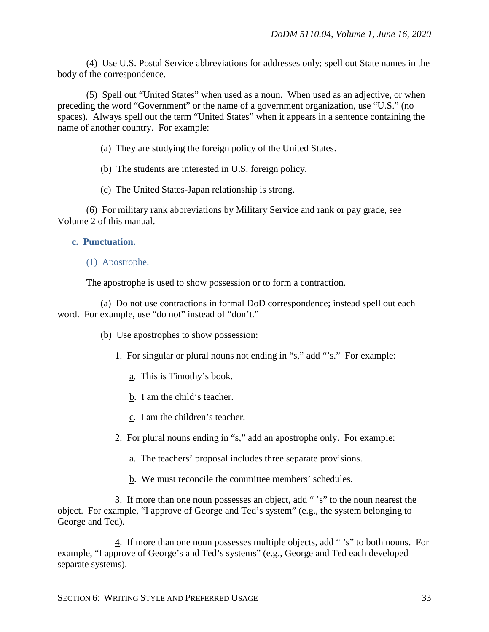(4) Use U.S. Postal Service abbreviations for addresses only; spell out State names in the body of the correspondence.

(5) Spell out "United States" when used as a noun. When used as an adjective, or when preceding the word "Government" or the name of a government organization, use "U.S." (no spaces). Always spell out the term "United States" when it appears in a sentence containing the name of another country. For example:

(a) They are studying the foreign policy of the United States.

(b) The students are interested in U.S. foreign policy.

(c) The United States-Japan relationship is strong.

(6) For military rank abbreviations by Military Service and rank or pay grade, see Volume 2 of this manual.

#### **c. Punctuation.**

#### (1) Apostrophe.

The apostrophe is used to show possession or to form a contraction.

(a) Do not use contractions in formal DoD correspondence; instead spell out each word. For example, use "do not" instead of "don't."

(b) Use apostrophes to show possession:

1. For singular or plural nouns not ending in "s," add "'s." For example:

- a. This is Timothy's book.
- b. I am the child's teacher.
- c. I am the children's teacher.
- 2. For plural nouns ending in "s," add an apostrophe only. For example:
	- a. The teachers' proposal includes three separate provisions.
	- b. We must reconcile the committee members' schedules.

3. If more than one noun possesses an object, add " 's" to the noun nearest the object. For example, "I approve of George and Ted's system" (e.g., the system belonging to George and Ted).

4. If more than one noun possesses multiple objects, add " 's" to both nouns. For example, "I approve of George's and Ted's systems" (e.g., George and Ted each developed separate systems).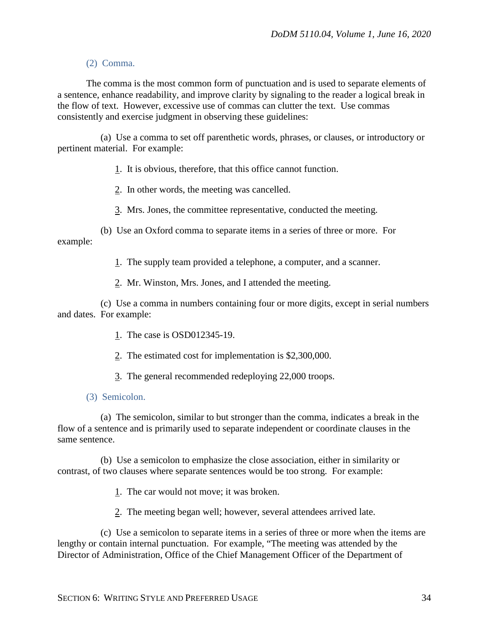### (2) Comma.

The comma is the most common form of punctuation and is used to separate elements of a sentence, enhance readability, and improve clarity by signaling to the reader a logical break in the flow of text. However, excessive use of commas can clutter the text. Use commas consistently and exercise judgment in observing these guidelines:

(a) Use a comma to set off parenthetic words, phrases, or clauses, or introductory or pertinent material. For example:

1. It is obvious, therefore, that this office cannot function.

2. In other words, the meeting was cancelled.

3. Mrs. Jones, the committee representative, conducted the meeting.

(b) Use an Oxford comma to separate items in a series of three or more. For example:

1. The supply team provided a telephone, a computer, and a scanner.

2. Mr. Winston, Mrs. Jones, and I attended the meeting.

(c) Use a comma in numbers containing four or more digits, except in serial numbers and dates. For example:

1. The case is OSD012345-19.

2. The estimated cost for implementation is \$2,300,000.

3. The general recommended redeploying 22,000 troops.

### (3) Semicolon.

(a) The semicolon, similar to but stronger than the comma, indicates a break in the flow of a sentence and is primarily used to separate independent or coordinate clauses in the same sentence.

(b) Use a semicolon to emphasize the close association, either in similarity or contrast, of two clauses where separate sentences would be too strong. For example:

1. The car would not move; it was broken.

2. The meeting began well; however, several attendees arrived late.

(c) Use a semicolon to separate items in a series of three or more when the items are lengthy or contain internal punctuation. For example, "The meeting was attended by the Director of Administration, Office of the Chief Management Officer of the Department of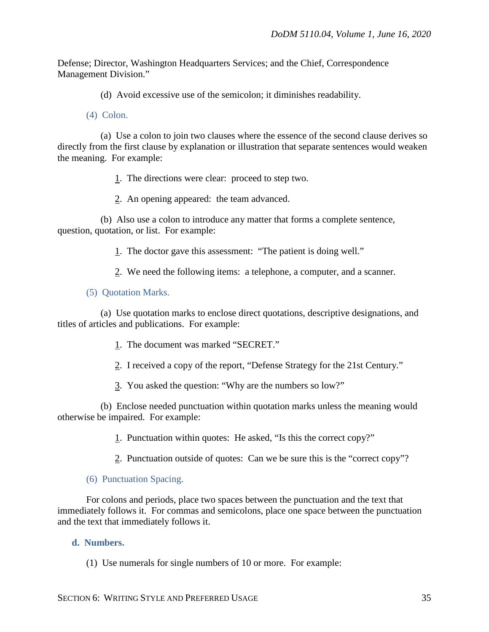Defense; Director, Washington Headquarters Services; and the Chief, Correspondence Management Division."

(d) Avoid excessive use of the semicolon; it diminishes readability.

(4) Colon.

(a) Use a colon to join two clauses where the essence of the second clause derives so directly from the first clause by explanation or illustration that separate sentences would weaken the meaning. For example:

1. The directions were clear: proceed to step two.

2. An opening appeared: the team advanced.

(b) Also use a colon to introduce any matter that forms a complete sentence, question, quotation, or list. For example:

1. The doctor gave this assessment: "The patient is doing well."

2. We need the following items: a telephone, a computer, and a scanner.

(5) Quotation Marks.

(a) Use quotation marks to enclose direct quotations, descriptive designations, and titles of articles and publications. For example:

- 1. The document was marked "SECRET."
- 2. I received a copy of the report, "Defense Strategy for the 21st Century."
- 3. You asked the question: "Why are the numbers so low?"

(b) Enclose needed punctuation within quotation marks unless the meaning would otherwise be impaired. For example:

1. Punctuation within quotes: He asked, "Is this the correct copy?"

2. Punctuation outside of quotes: Can we be sure this is the "correct copy"?

#### (6) Punctuation Spacing.

For colons and periods, place two spaces between the punctuation and the text that immediately follows it. For commas and semicolons, place one space between the punctuation and the text that immediately follows it.

#### **d. Numbers.**

(1) Use numerals for single numbers of 10 or more. For example: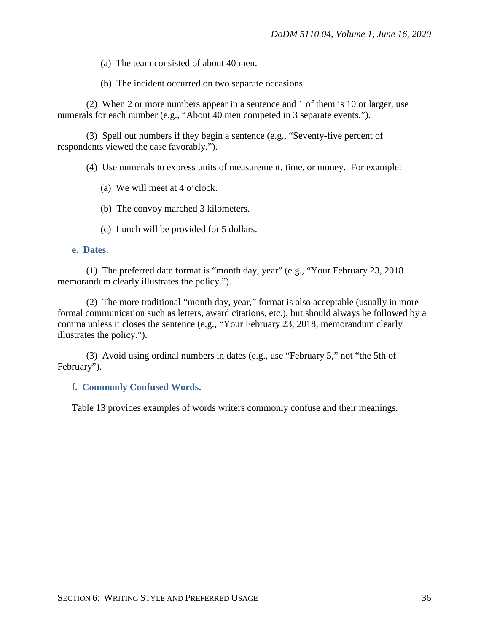(a) The team consisted of about 40 men.

(b) The incident occurred on two separate occasions.

(2) When 2 or more numbers appear in a sentence and 1 of them is 10 or larger, use numerals for each number (e.g., "About 40 men competed in 3 separate events.").

(3) Spell out numbers if they begin a sentence (e.g., "Seventy-five percent of respondents viewed the case favorably.").

(4) Use numerals to express units of measurement, time, or money. For example:

- (a) We will meet at 4 o'clock.
- (b) The convoy marched 3 kilometers.
- (c) Lunch will be provided for 5 dollars.

### **e. Dates.**

(1) The preferred date format is "month day, year" (e.g., "Your February 23, 2018 memorandum clearly illustrates the policy.").

(2) The more traditional "month day, year," format is also acceptable (usually in more formal communication such as letters, award citations, etc.), but should always be followed by a comma unless it closes the sentence (e.g., "Your February 23, 2018, memorandum clearly illustrates the policy.").

(3) Avoid using ordinal numbers in dates (e.g., use "February 5," not "the 5th of February").

#### **f. Commonly Confused Words.**

Table 13 provides examples of words writers commonly confuse and their meanings.